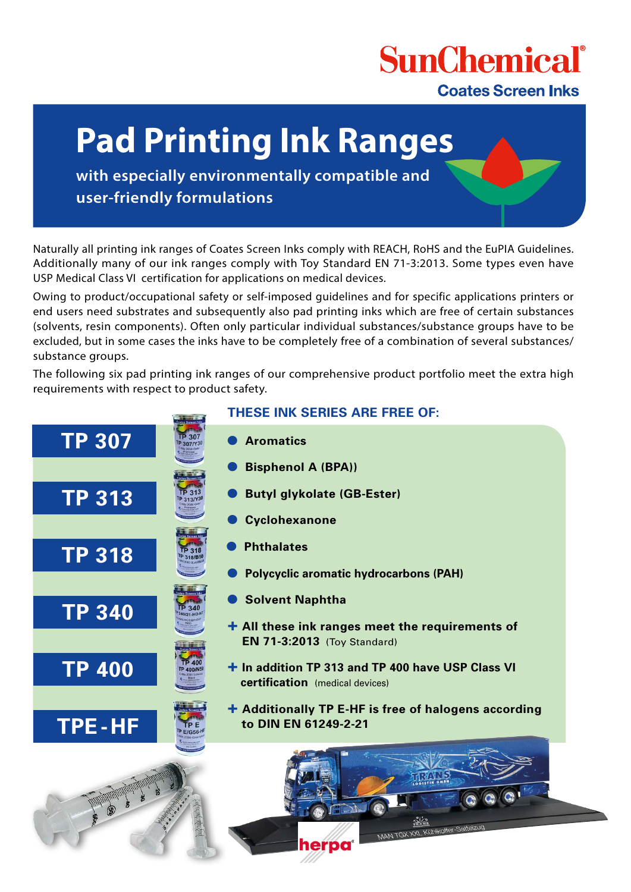# **SunChemical**<sup>®</sup>

### **Coates Screen Inks**

### **Pad Printing Ink Ranges**

**with especially environmentally compatible and user-friendly formulations**

Naturally all printing ink ranges of Coates Screen Inks comply with REACH, RoHS and the EuPIA Guidelines. Additionally many of our ink ranges comply with Toy Standard EN 71-3:2013. Some types even have USP Medical Class VI certification for applications on medical devices.

Owing to product/occupational safety or self-imposed guidelines and for specific applications printers or end users need substrates and subsequently also pad printing inks which are free of certain substances (solvents, resin components). Often only particular individual substances/substance groups have to be excluded, but in some cases the inks have to be completely free of a combination of several substances/ substance groups.

The following six pad printing ink ranges of our comprehensive product portfolio meet the extra high requirements with respect to product safety.

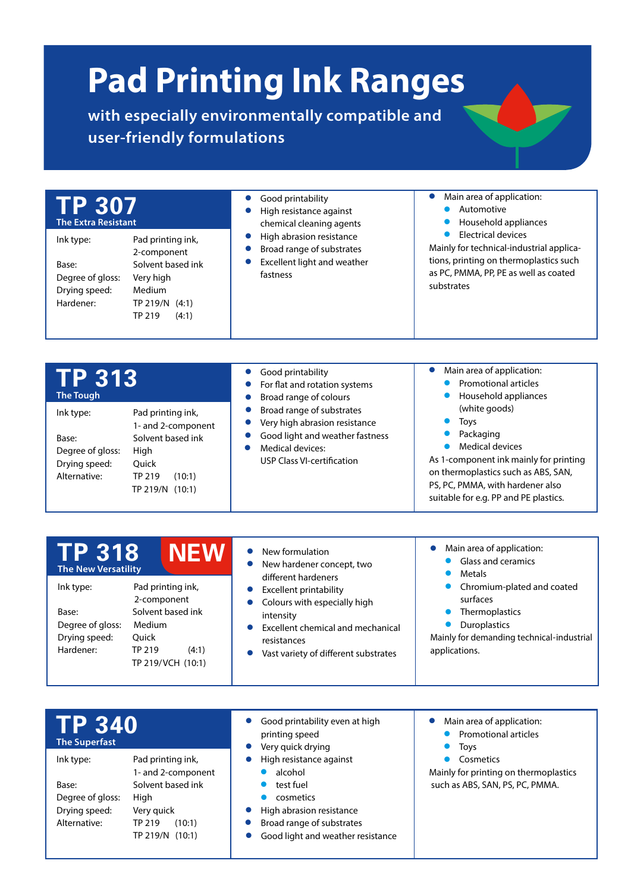## **Pad Printing Ink Ranges**

**with especially environmentally compatible and user-friendly formulations**

| <b>TP 307</b><br><b>The Extra Resistant</b><br>Ink type:<br>Base:<br>Degree of gloss:<br>Drying speed:<br>Hardener: | Pad printing ink,<br>2-component<br>Solvent based ink<br>Very high<br>Medium<br>TP 219/N (4:1)<br>TP 219<br>(4:1) | Good printability<br>High resistance against<br>chemical cleaning agents<br>High abrasion resistance<br>$\bullet$<br>Broad range of substrates<br>Excellent light and weather<br>$\bullet$<br>fastness | Main area of application:<br>Automotive<br>Household appliances<br><b>Electrical devices</b><br>$\bullet$<br>Mainly for technical-industrial applica-<br>tions, printing on thermoplastics such<br>as PC, PMMA, PP, PE as well as coated<br>substrates |  |  |
|---------------------------------------------------------------------------------------------------------------------|-------------------------------------------------------------------------------------------------------------------|--------------------------------------------------------------------------------------------------------------------------------------------------------------------------------------------------------|--------------------------------------------------------------------------------------------------------------------------------------------------------------------------------------------------------------------------------------------------------|--|--|
|                                                                                                                     |                                                                                                                   | Good printability<br>$\bullet$                                                                                                                                                                         | Main area of application:<br>$\bullet$                                                                                                                                                                                                                 |  |  |
| <b>TP 313</b>                                                                                                       |                                                                                                                   | For flat and rotation systems<br>0                                                                                                                                                                     | <b>Promotional articles</b><br>$\bullet$                                                                                                                                                                                                               |  |  |
| <b>The Tough</b>                                                                                                    |                                                                                                                   | Broad range of colours<br>$\bullet$                                                                                                                                                                    | Household appliances<br>$\bullet$                                                                                                                                                                                                                      |  |  |
| Ink type:                                                                                                           | Pad printing ink,                                                                                                 | Broad range of substrates<br>0<br>Very high abrasion resistance                                                                                                                                        | (white goods)<br>Toys<br>$\bullet$                                                                                                                                                                                                                     |  |  |
| Base:                                                                                                               | 1- and 2-component<br>Solvent based ink                                                                           | Good light and weather fastness                                                                                                                                                                        | Packaging<br>$\bullet$                                                                                                                                                                                                                                 |  |  |
| Degree of gloss:                                                                                                    | High                                                                                                              | Medical devices:<br>$\bullet$                                                                                                                                                                          | <b>Medical devices</b><br>$\bullet$                                                                                                                                                                                                                    |  |  |
| Drying speed:                                                                                                       | Ouick                                                                                                             | <b>USP Class VI-certification</b>                                                                                                                                                                      | As 1-component ink mainly for printing                                                                                                                                                                                                                 |  |  |
| Alternative:                                                                                                        | TP 219<br>(10:1)                                                                                                  |                                                                                                                                                                                                        | on thermoplastics such as ABS, SAN,<br>PS, PC, PMMA, with hardener also                                                                                                                                                                                |  |  |
|                                                                                                                     | TP 219/N (10:1)                                                                                                   |                                                                                                                                                                                                        | suitable for e.g. PP and PE plastics.                                                                                                                                                                                                                  |  |  |
|                                                                                                                     |                                                                                                                   |                                                                                                                                                                                                        |                                                                                                                                                                                                                                                        |  |  |
| <b>TP 318</b>                                                                                                       | <b>NEW</b>                                                                                                        | New formulation<br>$\bullet$                                                                                                                                                                           | Main area of application:<br>$\bullet$                                                                                                                                                                                                                 |  |  |
| <b>The New Versatility</b>                                                                                          |                                                                                                                   | New hardener concept, two                                                                                                                                                                              | <b>Glass and ceramics</b>                                                                                                                                                                                                                              |  |  |
| Ink type:                                                                                                           | Pad printing ink,                                                                                                 | different hardeners                                                                                                                                                                                    | <b>Metals</b><br>$\bullet$<br>Chromium-plated and coated<br>$\bullet$                                                                                                                                                                                  |  |  |
|                                                                                                                     | 2-component                                                                                                       | <b>Excellent printability</b><br>0<br>Colours with especially high<br>$\bullet$                                                                                                                        | surfaces                                                                                                                                                                                                                                               |  |  |
| Base:                                                                                                               | Solvent based ink                                                                                                 | intensity                                                                                                                                                                                              | Thermoplastics<br>$\bullet$                                                                                                                                                                                                                            |  |  |
| Degree of gloss:<br>Drying speed:                                                                                   | Medium<br>Quick                                                                                                   | <b>Excellent chemical and mechanical</b>                                                                                                                                                               | Duroplastics<br>$\bullet$<br>Mainly for demanding technical-industrial                                                                                                                                                                                 |  |  |
| Hardener:                                                                                                           | <b>TP 219</b><br>(4:1)                                                                                            | resistances<br>Vast variety of different substrates                                                                                                                                                    | applications.                                                                                                                                                                                                                                          |  |  |
|                                                                                                                     | TP 219/VCH (10:1)                                                                                                 |                                                                                                                                                                                                        |                                                                                                                                                                                                                                                        |  |  |
|                                                                                                                     |                                                                                                                   |                                                                                                                                                                                                        |                                                                                                                                                                                                                                                        |  |  |
| TP 340                                                                                                              |                                                                                                                   | Good printability even at high<br>$\bullet$                                                                                                                                                            | Main area of application:<br>$\bullet$                                                                                                                                                                                                                 |  |  |
| <b>The Superfast</b>                                                                                                |                                                                                                                   | printing speed                                                                                                                                                                                         | Promotional articles                                                                                                                                                                                                                                   |  |  |
| Ink type:                                                                                                           | Pad printing ink,                                                                                                 | Very quick drying<br>High resistance against                                                                                                                                                           | Toys<br>Cosmetics                                                                                                                                                                                                                                      |  |  |
|                                                                                                                     | 1- and 2-component                                                                                                | alcohol                                                                                                                                                                                                | Mainly for printing on thermoplastics                                                                                                                                                                                                                  |  |  |
| Base:                                                                                                               | Solvent based ink                                                                                                 | test fuel                                                                                                                                                                                              | such as ABS, SAN, PS, PC, PMMA.                                                                                                                                                                                                                        |  |  |
| Degree of gloss:                                                                                                    | High                                                                                                              | cosmetics                                                                                                                                                                                              |                                                                                                                                                                                                                                                        |  |  |

Drying speed: Very quick Alternative: TP 219 (10:1)

TP 219/N (10:1)

- High abrasion resistance
- Broad range of substrates
- Good light and weather resistance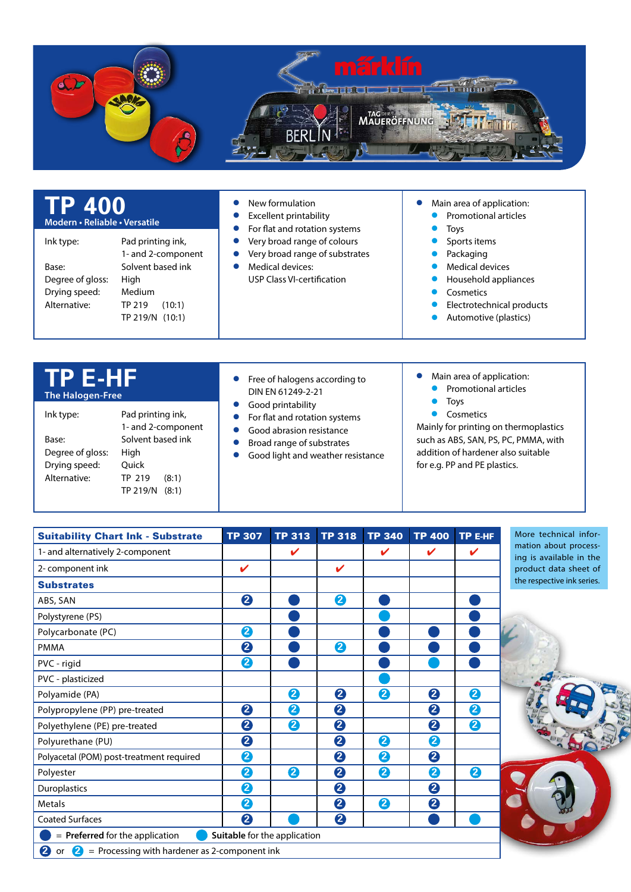

| TP 400<br>Modern • Reliable • Versatile<br>Ink type:<br>Base:<br>Degree of gloss:<br>Drying speed:<br>Alternative:   | Pad printing ink,<br>1- and 2-component<br>Solvent based ink<br>High<br>Medium<br>TP 219<br>(10:1)<br>TP 219/N (10:1)        | New formulation<br><b>Excellent printability</b><br>For flat and rotation systems<br>Very broad range of colours<br>Very broad range of substrates<br>Medical devices:<br><b>USP Class VI-certification</b> | Main area of application:<br>Promotional articles<br>Toys<br>Sports items<br>Packaging<br><b>Medical devices</b><br>Household appliances<br>Cosmetics<br>Electrotechnical products<br>Automotive (plastics)                          |
|----------------------------------------------------------------------------------------------------------------------|------------------------------------------------------------------------------------------------------------------------------|-------------------------------------------------------------------------------------------------------------------------------------------------------------------------------------------------------------|--------------------------------------------------------------------------------------------------------------------------------------------------------------------------------------------------------------------------------------|
| <b>TP E-HF</b><br><b>The Halogen-Free</b><br>Ink type:<br>Base:<br>Degree of gloss:<br>Drying speed:<br>Alternative: | Pad printing ink,<br>1- and 2-component<br>Solvent based ink<br>High<br>Quick<br>TP 219<br>(8:1)<br><b>TP 219/N</b><br>(8:1) | Free of halogens according to<br>DIN EN 61249-2-21<br>Good printability<br>For flat and rotation systems<br>Good abrasion resistance<br>Broad range of substrates<br>Good light and weather resistance      | Main area of application:<br><b>Promotional articles</b><br>Toys<br>Cosmetics<br>Mainly for printing on thermoplastics<br>such as ABS, SAN, PS, PC, PMMA, with<br>addition of hardener also suitable<br>for e.g. PP and PE plastics. |

| <b>Suitability Chart Ink - Substrate</b>                            | <b>TP 307</b>                | <b>TP 313</b> | <b>TP 318</b> | <b>TP 340</b> | <b>TP 400</b> | TP E-HF | More technical infor-                            |
|---------------------------------------------------------------------|------------------------------|---------------|---------------|---------------|---------------|---------|--------------------------------------------------|
| 1- and alternatively 2-component                                    |                              | V             |               | ✔             | V             | ✓       | mation about process-<br>ing is available in the |
| 2- component ink                                                    | V                            |               | $\checkmark$  |               |               |         | product data sheet of                            |
| <b>Substrates</b>                                                   |                              |               |               |               |               |         | the respective ink series.                       |
| ABS, SAN                                                            | 2                            |               | 2             |               |               |         |                                                  |
| Polystyrene (PS)                                                    |                              |               |               |               |               |         |                                                  |
| Polycarbonate (PC)                                                  | 2                            |               |               |               |               |         |                                                  |
| <b>PMMA</b>                                                         | 2                            |               | 2             |               |               |         |                                                  |
| PVC - rigid                                                         | 2                            |               |               |               |               |         |                                                  |
| PVC - plasticized                                                   |                              |               |               |               |               |         |                                                  |
| Polyamide (PA)                                                      |                              | 2             | 2             | 2             | 2             | 2       |                                                  |
| Polypropylene (PP) pre-treated                                      | 2                            | 2             | 2             |               | 2             | 2       |                                                  |
| Polyethylene (PE) pre-treated                                       | 2                            | 2             | 2             |               | 2             | 2       |                                                  |
| Polyurethane (PU)                                                   | 2                            |               | 2             | 2             | 2             |         |                                                  |
| Polyacetal (POM) post-treatment required                            | 2                            |               | 2             | 2             | 2             |         |                                                  |
| Polyester                                                           | 2                            | 2             | 2             | 2             | 2             | 2       |                                                  |
| Duroplastics                                                        | 2                            |               | 2             |               | 2             |         |                                                  |
| Metals                                                              | 2                            |               | 2             | 2             | 2             |         |                                                  |
| <b>Coated Surfaces</b>                                              | 2                            |               | 2             |               |               |         |                                                  |
| $=$ Preferred for the application                                   | Suitable for the application |               |               |               |               |         |                                                  |
| 2<br>or $\sqrt{2}$<br>= Processing with hardener as 2-component ink |                              |               |               |               |               |         |                                                  |

**SECONDE**